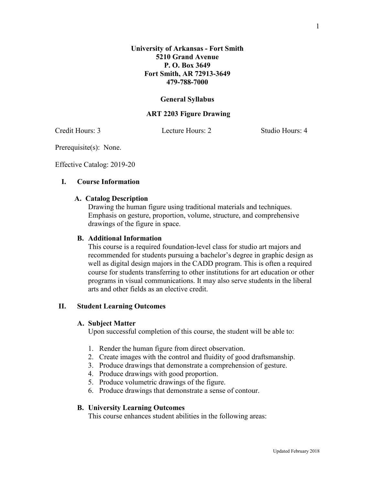# **General Syllabus**

# **ART 2203 Figure Drawing**

Credit Hours: 3 Lecture Hours: 2 Studio Hours: 4

Prerequisite(s): None.

Effective Catalog: 2019-20

# **I. Course Information**

# **A. Catalog Description**

Drawing the human figure using traditional materials and techniques. Emphasis on gesture, proportion, volume, structure, and comprehensive drawings of the figure in space.

#### **B. Additional Information**

This course is a required foundation-level class for studio art majors and recommended for students pursuing a bachelor's degree in graphic design as well as digital design majors in the CADD program. This is often a required course for students transferring to other institutions for art education or other programs in visual communications. It may also serve students in the liberal arts and other fields as an elective credit.

# **II. Student Learning Outcomes**

#### **A. Subject Matter**

Upon successful completion of this course, the student will be able to:

- 1. Render the human figure from direct observation.
- 2. Create images with the control and fluidity of good draftsmanship.
- 3. Produce drawings that demonstrate a comprehension of gesture.
- 4. Produce drawings with good proportion.
- 5. Produce volumetric drawings of the figure.
- 6. Produce drawings that demonstrate a sense of contour.

# **B. University Learning Outcomes**

This course enhances student abilities in the following areas: